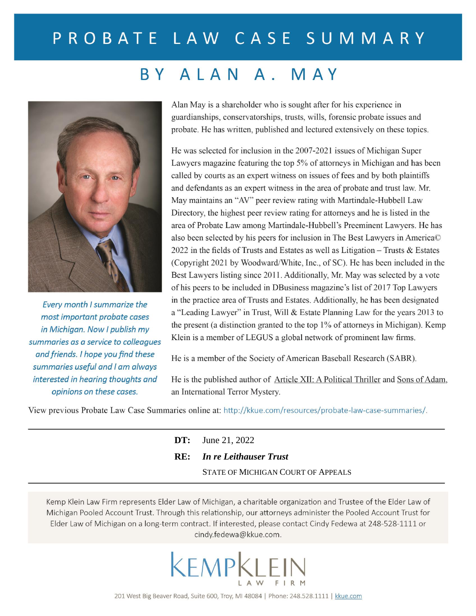## PROBATE LAW CASE SUMMARY

## BY ALAN A. MAY



Every month I summarize the most important probate cases in Michigan. Now I publish my summaries as a service to colleagues and friends. I hope you find these summaries useful and I am always interested in hearing thoughts and opinions on these cases.

Alan May is a shareholder who is sought after for his experience in guardianships, conservatorships, trusts, wills, forensic probate issues and probate. He has written, published and lectured extensively on these topics.

He was selected for inclusion in the 2007-2021 issues of Michigan Super Lawyers magazine featuring the top 5% of attorneys in Michigan and has been called by courts as an expert witness on issues of fees and by both plaintiffs and defendants as an expert witness in the area of probate and trust law. Mr. May maintains an "AV" peer review rating with Martindale-Hubbell Law Directory, the highest peer review rating for attorneys and he is listed in the area of Probate Law among Martindale-Hubbell's Preeminent Lawyers. He has also been selected by his peers for inclusion in The Best Lawyers in America© 2022 in the fields of Trusts and Estates as well as Litigation - Trusts & Estates (Copyright 2021 by Woodward/White, Inc., of SC). He has been included in the Best Lawyers listing since 2011. Additionally, Mr. May was selected by a vote of his peers to be included in DBusiness magazine's list of 2017 Top Lawyers in the practice area of Trusts and Estates. Additionally, he has been designated a "Leading Lawyer" in Trust, Will & Estate Planning Law for the years 2013 to the present (a distinction granted to the top 1% of attorneys in Michigan). Kemp Klein is a member of LEGUS a global network of prominent law firms.

He is a member of the Society of American Baseball Research (SABR).

He is the published author of Article XII: A Political Thriller and Sons of Adam, an International Terror Mystery.

View previous Probate Law Case Summaries online at: http://kkue.com/resources/probate-law-case-summaries/.

| <b>DT:</b> June 21, 2022           |
|------------------------------------|
| <b>RE:</b> In re Leithauser Trust  |
| STATE OF MICHIGAN COURT OF APPEALS |

Kemp Klein Law Firm represents Elder Law of Michigan, a charitable organization and Trustee of the Elder Law of Michigan Pooled Account Trust. Through this relationship, our attorneys administer the Pooled Account Trust for Elder Law of Michigan on a long-term contract. If interested, please contact Cindy Fedewa at 248-528-1111 or cindy.fedewa@kkue.com.

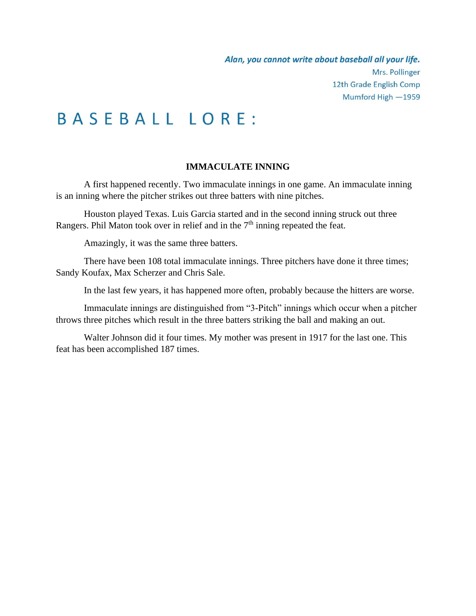# BASEBALL LORE:

### **IMMACULATE INNING**

A first happened recently. Two immaculate innings in one game. An immaculate inning is an inning where the pitcher strikes out three batters with nine pitches.

Houston played Texas. Luis Garcia started and in the second inning struck out three Rangers. Phil Maton took over in relief and in the  $7<sup>th</sup>$  inning repeated the feat.

Amazingly, it was the same three batters.

There have been 108 total immaculate innings. Three pitchers have done it three times; Sandy Koufax, Max Scherzer and Chris Sale.

In the last few years, it has happened more often, probably because the hitters are worse.

Immaculate innings are distinguished from "3-Pitch" innings which occur when a pitcher throws three pitches which result in the three batters striking the ball and making an out.

Walter Johnson did it four times. My mother was present in 1917 for the last one. This feat has been accomplished 187 times.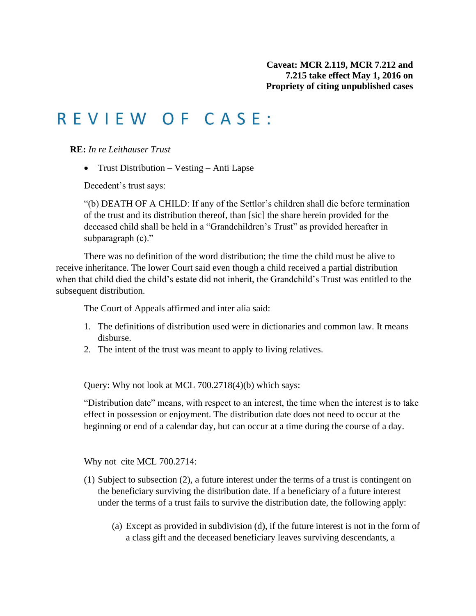## REVIEW OF CASE:

**RE:** *In re Leithauser Trust*

• Trust Distribution – Vesting – Anti Lapse

Decedent's trust says:

"(b) DEATH OF A CHILD: If any of the Settlor's children shall die before termination of the trust and its distribution thereof, than [sic] the share herein provided for the deceased child shall be held in a "Grandchildren's Trust" as provided hereafter in subparagraph (c)."

There was no definition of the word distribution; the time the child must be alive to receive inheritance. The lower Court said even though a child received a partial distribution when that child died the child's estate did not inherit, the Grandchild's Trust was entitled to the subsequent distribution.

The Court of Appeals affirmed and inter alia said:

- 1. The definitions of distribution used were in dictionaries and common law. It means disburse.
- 2. The intent of the trust was meant to apply to living relatives.

Query: Why not look at MCL 700.2718(4)(b) which says:

"Distribution date" means, with respect to an interest, the time when the interest is to take effect in possession or enjoyment. The distribution date does not need to occur at the beginning or end of a calendar day, but can occur at a time during the course of a day.

Why not cite MCL 700.2714:

- (1) Subject to subsection (2), a future interest under the terms of a trust is contingent on the beneficiary surviving the distribution date. If a beneficiary of a future interest under the terms of a trust fails to survive the distribution date, the following apply:
	- (a) Except as provided in subdivision (d), if the future interest is not in the form of a class gift and the deceased beneficiary leaves surviving descendants, a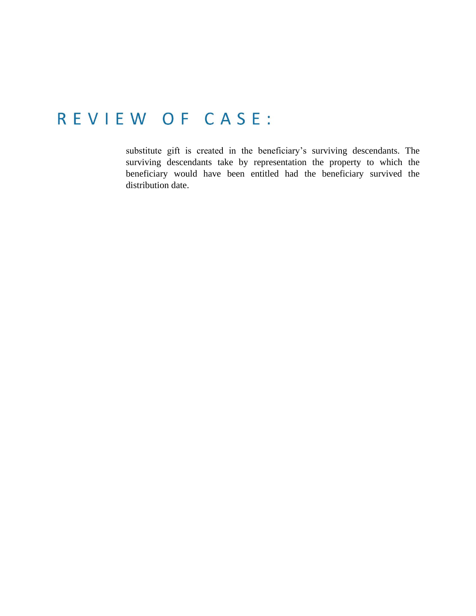## REVIEW OF CASE:

substitute gift is created in the beneficiary's surviving descendants. The surviving descendants take by representation the property to which the beneficiary would have been entitled had the beneficiary survived the distribution date.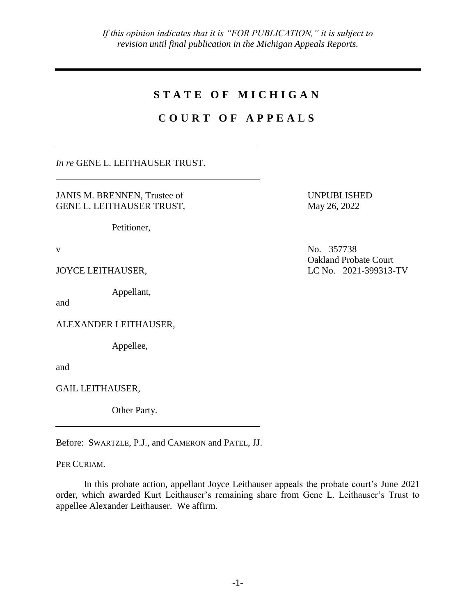### **S T A T E O F M I C H I G A N**

### **C O U R T O F A P P E A L S**

*In re* GENE L. LEITHAUSER TRUST.

JANIS M. BRENNEN, Trustee of GENE L. LEITHAUSER TRUST,

Petitioner,

Appellant,

and

ALEXANDER LEITHAUSER,

Appellee,

and

GAIL LEITHAUSER,

Other Party.

Before: SWARTZLE, P.J., and CAMERON and PATEL, JJ.

PER CURIAM.

In this probate action, appellant Joyce Leithauser appeals the probate court's June 2021 order, which awarded Kurt Leithauser's remaining share from Gene L. Leithauser's Trust to appellee Alexander Leithauser. We affirm.

UNPUBLISHED May 26, 2022

v No. 357738 Oakland Probate Court JOYCE LEITHAUSER, LC No. 2021-399313-TV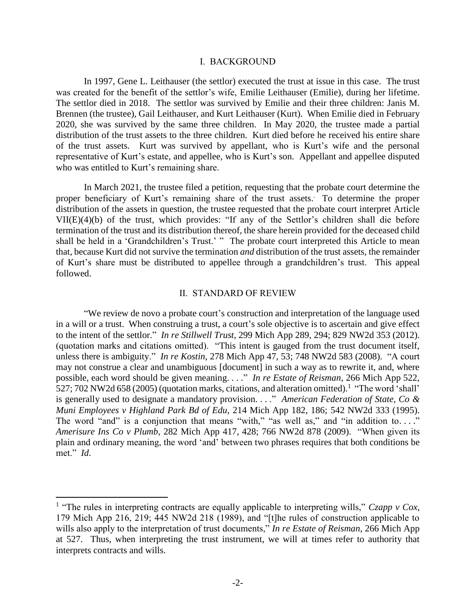#### I. BACKGROUND

In 1997, Gene L. Leithauser (the settlor) executed the trust at issue in this case. The trust was created for the benefit of the settlor's wife, Emilie Leithauser (Emilie), during her lifetime. The settlor died in 2018. The settlor was survived by Emilie and their three children: Janis M. Brennen (the trustee), Gail Leithauser, and Kurt Leithauser (Kurt). When Emilie died in February 2020, she was survived by the same three children. In May 2020, the trustee made a partial distribution of the trust assets to the three children. Kurt died before he received his entire share of the trust assets. Kurt was survived by appellant, who is Kurt's wife and the personal representative of Kurt's estate, and appellee, who is Kurt's son. Appellant and appellee disputed who was entitled to Kurt's remaining share.

In March 2021, the trustee filed a petition, requesting that the probate court determine the proper beneficiary of Kurt's remaining share of the trust assets. . To determine the proper distribution of the assets in question, the trustee requested that the probate court interpret Article VII(E)(4)(b) of the trust, which provides: "If any of the Settlor's children shall die before termination of the trust and its distribution thereof, the share herein provided for the deceased child shall be held in a 'Grandchildren's Trust.' " The probate court interpreted this Article to mean that, because Kurt did not survive the termination *and* distribution of the trust assets, the remainder of Kurt's share must be distributed to appellee through a grandchildren's trust. This appeal followed.

#### II. STANDARD OF REVIEW

"We review de novo a probate court's construction and interpretation of the language used in a will or a trust. When construing a trust, a court's sole objective is to ascertain and give effect to the intent of the settlor." *In re Stillwell Trust*, 299 Mich App 289, 294; 829 NW2d 353 (2012). (quotation marks and citations omitted). "This intent is gauged from the trust document itself, unless there is ambiguity." *In re Kostin*, 278 Mich App 47, 53; 748 NW2d 583 (2008). "A court may not construe a clear and unambiguous [document] in such a way as to rewrite it, and, where possible, each word should be given meaning. . . ." *In re Estate of Reisman*, 266 Mich App 522, 527; 702 NW2d 658 (2005) (quotation marks, citations, and alteration omitted).<sup>1</sup> "The word 'shall' is generally used to designate a mandatory provision. . . ." *American Federation of State, Co & Muni Employees v Highland Park Bd of Edu*, 214 Mich App 182, 186; 542 NW2d 333 (1995). The word "and" is a conjunction that means "with," "as well as," and "in addition to...." *Amerisure Ins Co v Plumb*, 282 Mich App 417, 428; 766 NW2d 878 (2009). "When given its plain and ordinary meaning, the word 'and' between two phrases requires that both conditions be met." *Id*.

 $\overline{a}$ 

<sup>&</sup>lt;sup>1</sup> "The rules in interpreting contracts are equally applicable to interpreting wills," *Czapp v Cox*, 179 Mich App 216, 219; 445 NW2d 218 (1989), and "[t]he rules of construction applicable to wills also apply to the interpretation of trust documents," *In re Estate of Reisman*, 266 Mich App at 527. Thus, when interpreting the trust instrument, we will at times refer to authority that interprets contracts and wills.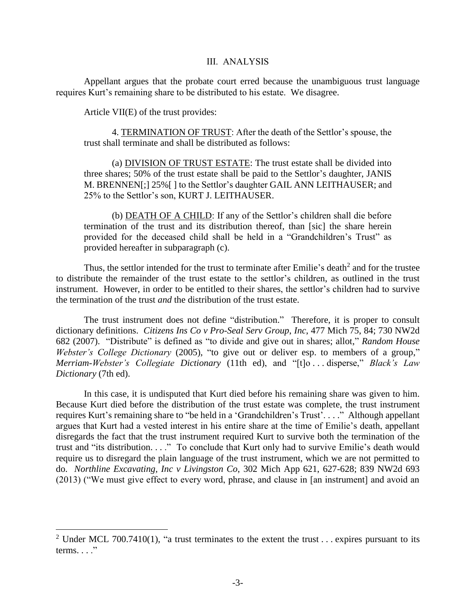### III. ANALYSIS

Appellant argues that the probate court erred because the unambiguous trust language requires Kurt's remaining share to be distributed to his estate. We disagree.

Article VII(E) of the trust provides:

 $\overline{a}$ 

4. TERMINATION OF TRUST: After the death of the Settlor's spouse, the trust shall terminate and shall be distributed as follows:

(a) DIVISION OF TRUST ESTATE: The trust estate shall be divided into three shares; 50% of the trust estate shall be paid to the Settlor's daughter, JANIS M. BRENNEN[;] 25%[ ] to the Settlor's daughter GAIL ANN LEITHAUSER; and 25% to the Settlor's son, KURT J. LEITHAUSER.

(b) DEATH OF A CHILD: If any of the Settlor's children shall die before termination of the trust and its distribution thereof, than [sic] the share herein provided for the deceased child shall be held in a "Grandchildren's Trust" as provided hereafter in subparagraph (c).

Thus, the settlor intended for the trust to terminate after Emilie's death<sup>2</sup> and for the trustee to distribute the remainder of the trust estate to the settlor's children, as outlined in the trust instrument. However, in order to be entitled to their shares, the settlor's children had to survive the termination of the trust *and* the distribution of the trust estate.

The trust instrument does not define "distribution." Therefore, it is proper to consult dictionary definitions. *Citizens Ins Co v Pro-Seal Serv Group*, *Inc*, 477 Mich 75, 84; 730 NW2d 682 (2007). "Distribute" is defined as "to divide and give out in shares; allot," *Random House Webster's College Dictionary* (2005), "to give out or deliver esp. to members of a group," *Merriam-Webster's Collegiate Dictionary* (11th ed), and "[t]o . . . disperse," *Black's Law Dictionary* (7th ed).

In this case, it is undisputed that Kurt died before his remaining share was given to him. Because Kurt died before the distribution of the trust estate was complete, the trust instrument requires Kurt's remaining share to "be held in a 'Grandchildren's Trust'. . . ." Although appellant argues that Kurt had a vested interest in his entire share at the time of Emilie's death, appellant disregards the fact that the trust instrument required Kurt to survive both the termination of the trust and "its distribution. . . ." To conclude that Kurt only had to survive Emilie's death would require us to disregard the plain language of the trust instrument, which we are not permitted to do. *Northline Excavating, Inc v Livingston Co*, 302 Mich App 621, 627-628; 839 NW2d 693 (2013) ("We must give effect to every word, phrase, and clause in [an instrument] and avoid an

<sup>&</sup>lt;sup>2</sup> Under MCL 700.7410(1), "a trust terminates to the extent the trust . . . expires pursuant to its terms.  $\ldots$  "